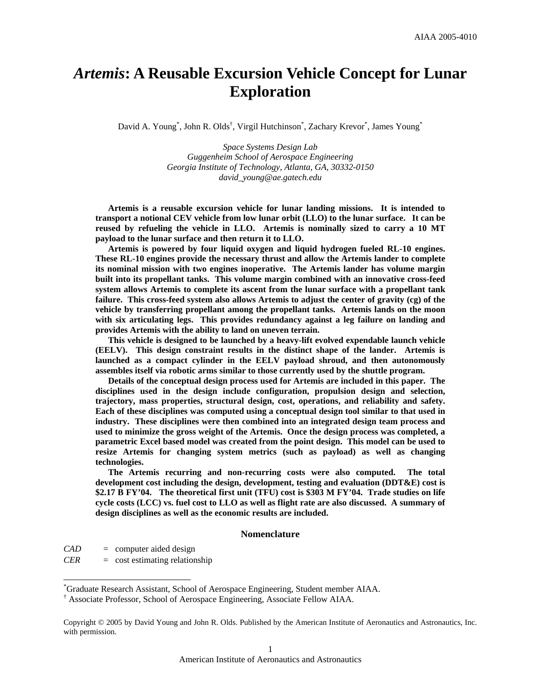# *Artemis***: A Reusable Excursion Vehicle Concept for Lunar Exploration**

David A. Young<sup>\*</sup>, John R. Olds<sup>†</sup>, Virgil Hutchinson<sup>\*</sup>, Zachary Krevor<sup>\*</sup>, James Young<sup>\*</sup>

*Space Systems Design Lab Guggenheim School of Aerospace Engineering Georgia Institute of Technology, Atlanta, GA, 30332-0150 david\_young@ae.gatech.edu* 

**Artemis is a reusable excursion vehicle for lunar landing missions. It is intended to transport a notional CEV vehicle from low lunar orbit (LLO) to the lunar surface. It can be reused by refueling the vehicle in LLO. Artemis is nominally sized to carry a 10 MT payload to the lunar surface and then return it to LLO.** 

**Artemis is powered by four liquid oxygen and liquid hydrogen fueled RL-10 engines. These RL-10 engines provide the necessary thrust and allow the Artemis lander to complete its nominal mission with two engines inoperative. The Artemis lander has volume margin built into its propellant tanks. This volume margin combined with an innovative cross-feed system allows Artemis to complete its ascent from the lunar surface with a propellant tank failure. This cross-feed system also allows Artemis to adjust the center of gravity (cg) of the vehicle by transferring propellant among the propellant tanks. Artemis lands on the moon with six articulating legs. This provides redundancy against a leg failure on landing and provides Artemis with the ability to land on uneven terrain.** 

**This vehicle is designed to be launched by a heavy-lift evolved expendable launch vehicle (EELV). This design constraint results in the distinct shape of the lander. Artemis is launched as a compact cylinder in the EELV payload shroud, and then autonomously assembles itself via robotic arms similar to those currently used by the shuttle program.** 

**Details of the conceptual design process used for Artemis are included in this paper. The disciplines used in the design include configuration, propulsion design and selection, trajectory, mass properties, structural design, cost, operations, and reliability and safety. Each of these disciplines was computed using a conceptual design tool similar to that used in industry. These disciplines were then combined into an integrated design team process and used to minimize the gross weight of the Artemis. Once the design process was completed, a parametric Excel based model was created from the point design. This model can be used to resize Artemis for changing system metrics (such as payload) as well as changing technologies.** 

**The Artemis recurring and non-recurring costs were also computed. The total development cost including the design, development, testing and evaluation (DDT&E) cost is \$2.17 B FY'04. The theoretical first unit (TFU) cost is \$303 M FY'04. Trade studies on life cycle costs (LCC) vs. fuel cost to LLO as well as flight rate are also discussed. A summary of design disciplines as well as the economic results are included.** 

# **Nomenclature**

*CAD* = computer aided design

-

*CER* = cost estimating relationship

<sup>\*</sup> Graduate Research Assistant, School of Aerospace Engineering, Student member AIAA.

<sup>†</sup> Associate Professor, School of Aerospace Engineering, Associate Fellow AIAA.

Copyright © 2005 by David Young and John R. Olds. Published by the American Institute of Aeronautics and Astronautics, Inc. with permission.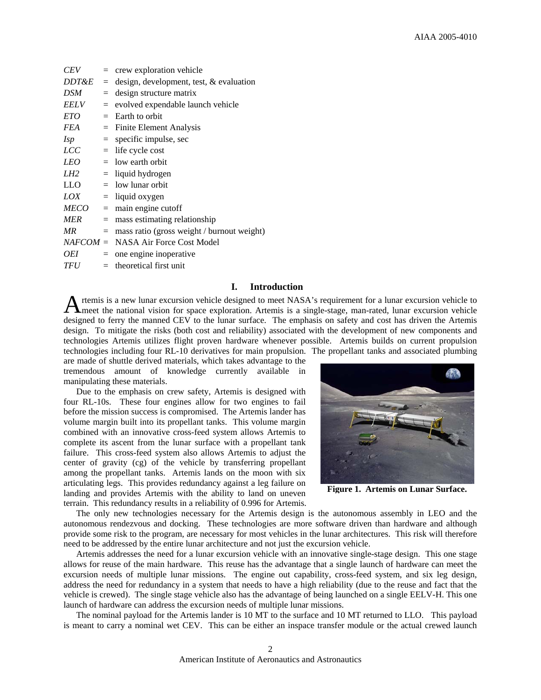| <i>CEV</i>       |          | $=$ crew exploration vehicle               |
|------------------|----------|--------------------------------------------|
| <i>DDT&amp;E</i> | $\equiv$ | design, development, test, $\&$ evaluation |
| <b>DSM</b>       | $=$      | design structure matrix                    |
| <b>EELV</b>      | $=$      | evolved expendable launch vehicle          |
| <i>ETO</i>       |          | $=$ Earth to orbit                         |
| <i>FEA</i>       |          | $=$ Finite Element Analysis                |
| <i>Isp</i>       |          | $=$ specific impulse, sec                  |
| LCC              |          | $=$ life cycle cost                        |
| <b>LEO</b>       |          | $=$ low earth orbit                        |
| LH2              |          | $=$ liquid hydrogen                        |
| LLO              |          | $=$ low lunar orbit                        |
| LOX              |          | $=$ liquid oxygen                          |
| MECO             | $=$      | main engine cutoff                         |
| <b>MER</b>       | $=$      | mass estimating relationship               |
| MR               | $=$      | mass ratio (gross weight / burnout weight) |
| $NAFCOM =$       |          | NASA Air Force Cost Model                  |
| OEI              | $=$      | one engine inoperative                     |
| <b>TFU</b>       | $=$      | theoretical first unit                     |
|                  |          |                                            |

# **I. Introduction**

rtemis is a new lunar excursion vehicle designed to meet NASA's requirement for a lunar excursion vehicle to A rtemis is a new lunar excursion vehicle designed to meet NASA's requirement for a lunar excursion vehicle to meet the national vision for space exploration. Artemis is a single-stage, man-rated, lunar excursion vehicle designed to ferry the manned CEV to the lunar surface. The emphasis on safety and cost has driven the Artemis design. To mitigate the risks (both cost and reliability) associated with the development of new components and technologies Artemis utilizes flight proven hardware whenever possible. Artemis builds on current propulsion technologies including four RL-10 derivatives for main propulsion. The propellant tanks and associated plumbing

are made of shuttle derived materials, which takes advantage to the tremendous amount of knowledge currently available in manipulating these materials.

Due to the emphasis on crew safety, Artemis is designed with four RL-10s. These four engines allow for two engines to fail before the mission success is compromised. The Artemis lander has volume margin built into its propellant tanks. This volume margin combined with an innovative cross-feed system allows Artemis to complete its ascent from the lunar surface with a propellant tank failure. This cross-feed system also allows Artemis to adjust the center of gravity (cg) of the vehicle by transferring propellant among the propellant tanks. Artemis lands on the moon with six articulating legs. This provides redundancy against a leg failure on landing and provides Artemis with the ability to land on uneven terrain. This redundancy results in a reliability of 0.996 for Artemis.



**Figure 1. Artemis on Lunar Surface.**

The only new technologies necessary for the Artemis design is the autonomous assembly in LEO and the autonomous rendezvous and docking. These technologies are more software driven than hardware and although provide some risk to the program, are necessary for most vehicles in the lunar architectures. This risk will therefore need to be addressed by the entire lunar architecture and not just the excursion vehicle.

 Artemis addresses the need for a lunar excursion vehicle with an innovative single-stage design. This one stage allows for reuse of the main hardware. This reuse has the advantage that a single launch of hardware can meet the excursion needs of multiple lunar missions. The engine out capability, cross-feed system, and six leg design, address the need for redundancy in a system that needs to have a high reliability (due to the reuse and fact that the vehicle is crewed). The single stage vehicle also has the advantage of being launched on a single EELV-H. This one launch of hardware can address the excursion needs of multiple lunar missions.

 The nominal payload for the Artemis lander is 10 MT to the surface and 10 MT returned to LLO. This payload is meant to carry a nominal wet CEV. This can be either an inspace transfer module or the actual crewed launch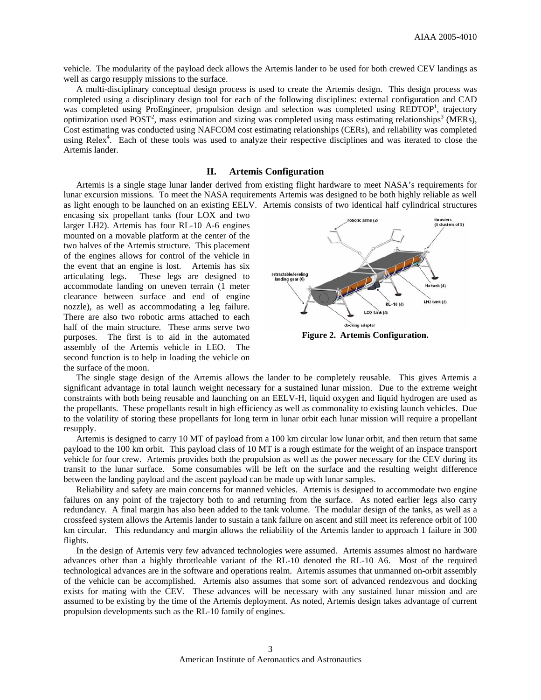vehicle. The modularity of the payload deck allows the Artemis lander to be used for both crewed CEV landings as well as cargo resupply missions to the surface.

 A multi-disciplinary conceptual design process is used to create the Artemis design. This design process was completed using a disciplinary design tool for each of the following disciplines: external configuration and CAD was completed using ProEngineer, propulsion design and selection was completed using REDTOP<sup>1</sup>, trajectory optimization used  $POST^2$ , mass estimation and sizing was completed using mass estimating relationships<sup>3</sup> (MERs), Cost estimating was conducted using NAFCOM cost estimating relationships (CERs), and reliability was completed using Relex<sup>4</sup>. Each of these tools was used to analyze their respective disciplines and was iterated to close the Artemis lander.

#### **II. Artemis Configuration**

Artemis is a single stage lunar lander derived from existing flight hardware to meet NASA's requirements for lunar excursion missions. To meet the NASA requirements Artemis was designed to be both highly reliable as well as light enough to be launched on an existing EELV. Artemis consists of two identical half cylindrical structures

encasing six propellant tanks (four LOX and two larger LH2). Artemis has four RL-10 A-6 engines mounted on a movable platform at the center of the two halves of the Artemis structure. This placement of the engines allows for control of the vehicle in the event that an engine is lost. Artemis has six articulating legs. These legs are designed to accommodate landing on uneven terrain (1 meter clearance between surface and end of engine nozzle), as well as accommodating a leg failure. There are also two robotic arms attached to each half of the main structure. These arms serve two purposes. The first is to aid in the automated assembly of the Artemis vehicle in LEO. The second function is to help in loading the vehicle on the surface of the moon.



The single stage design of the Artemis allows the lander to be completely reusable. This gives Artemis a significant advantage in total launch weight necessary for a sustained lunar mission. Due to the extreme weight constraints with both being reusable and launching on an EELV-H, liquid oxygen and liquid hydrogen are used as the propellants. These propellants result in high efficiency as well as commonality to existing launch vehicles. Due to the volatility of storing these propellants for long term in lunar orbit each lunar mission will require a propellant resupply.

Artemis is designed to carry 10 MT of payload from a 100 km circular low lunar orbit, and then return that same payload to the 100 km orbit. This payload class of 10 MT is a rough estimate for the weight of an inspace transport vehicle for four crew. Artemis provides both the propulsion as well as the power necessary for the CEV during its transit to the lunar surface. Some consumables will be left on the surface and the resulting weight difference between the landing payload and the ascent payload can be made up with lunar samples.

Reliability and safety are main concerns for manned vehicles. Artemis is designed to accommodate two engine failures on any point of the trajectory both to and returning from the surface. As noted earlier legs also carry redundancy. A final margin has also been added to the tank volume. The modular design of the tanks, as well as a crossfeed system allows the Artemis lander to sustain a tank failure on ascent and still meet its reference orbit of 100 km circular. This redundancy and margin allows the reliability of the Artemis lander to approach 1 failure in 300 flights.

In the design of Artemis very few advanced technologies were assumed. Artemis assumes almost no hardware advances other than a highly throttleable variant of the RL-10 denoted the RL-10 A6. Most of the required technological advances are in the software and operations realm. Artemis assumes that unmanned on-orbit assembly of the vehicle can be accomplished. Artemis also assumes that some sort of advanced rendezvous and docking exists for mating with the CEV. These advances will be necessary with any sustained lunar mission and are assumed to be existing by the time of the Artemis deployment. As noted, Artemis design takes advantage of current propulsion developments such as the RL-10 family of engines.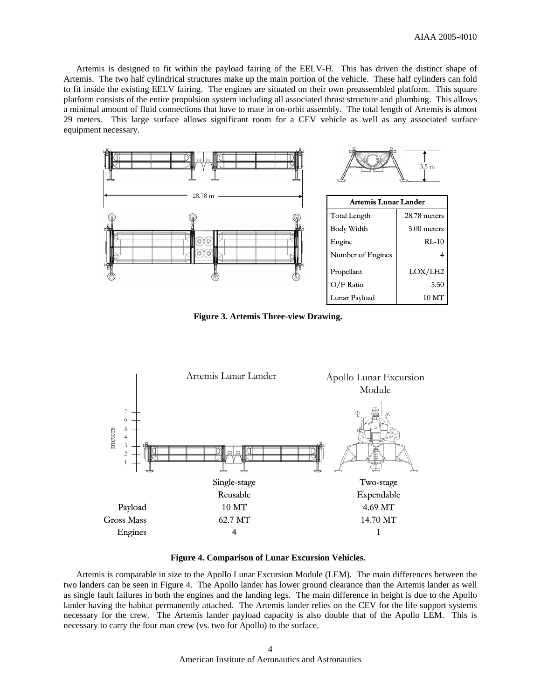Artemis is designed to fit within the payload fairing of the EELV-H. This has driven the distinct shape of Artemis. The two half cylindrical structures make up the main portion of the vehicle. These half cylinders can fold to fit inside the existing EELV fairing. The engines are situated on their own preassembled platform. This square platform consists of the entire propulsion system including all associated thrust structure and plumbing. This allows a minimal amount of fluid connections that have to mate in on-orbit assembly. The total length of Artemis is almost 29 meters. This large surface allows significant room for a CEV vehicle as well as any associated surface equipment necessary.



**Figure 3. Artemis Three-view Drawing.** 



**Figure 4. Comparison of Lunar Excursion Vehicles.** 

 Artemis is comparable in size to the Apollo Lunar Excursion Module (LEM). The main differences between the two landers can be seen in Figure 4. The Apollo lander has lower ground clearance than the Artemis lander as well as single fault failures in both the engines and the landing legs. The main difference in height is due to the Apollo lander having the habitat permanently attached. The Artemis lander relies on the CEV for the life support systems necessary for the crew. The Artemis lander payload capacity is also double that of the Apollo LEM. This is necessary to carry the four man crew (vs. two for Apollo) to the surface.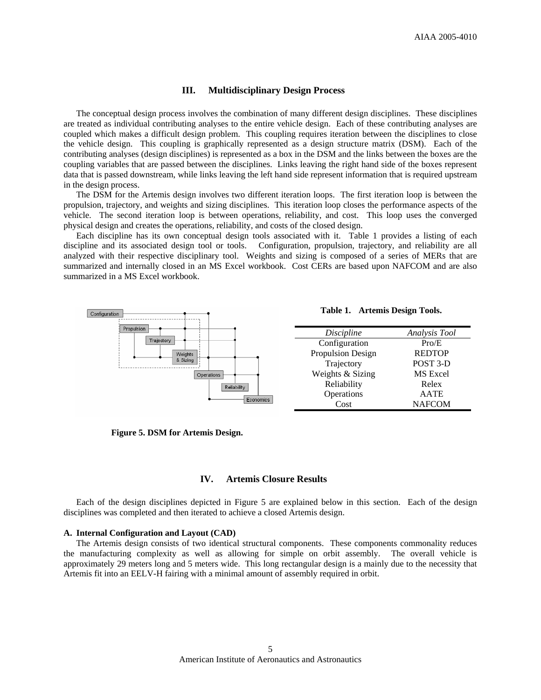## **III. Multidisciplinary Design Process**

The conceptual design process involves the combination of many different design disciplines. These disciplines are treated as individual contributing analyses to the entire vehicle design. Each of these contributing analyses are coupled which makes a difficult design problem. This coupling requires iteration between the disciplines to close the vehicle design. This coupling is graphically represented as a design structure matrix (DSM). Each of the contributing analyses (design disciplines) is represented as a box in the DSM and the links between the boxes are the coupling variables that are passed between the disciplines. Links leaving the right hand side of the boxes represent data that is passed downstream, while links leaving the left hand side represent information that is required upstream in the design process.

The DSM for the Artemis design involves two different iteration loops. The first iteration loop is between the propulsion, trajectory, and weights and sizing disciplines. This iteration loop closes the performance aspects of the vehicle. The second iteration loop is between operations, reliability, and cost. This loop uses the converged physical design and creates the operations, reliability, and costs of the closed design.

Each discipline has its own conceptual design tools associated with it. Table 1 provides a listing of each discipline and its associated design tool or tools. Configuration, propulsion, trajectory, and reliability are all analyzed with their respective disciplinary tool. Weights and sizing is composed of a series of MERs that are summarized and internally closed in an MS Excel workbook. Cost CERs are based upon NAFCOM and are also summarized in a MS Excel workbook.



**Figure 5. DSM for Artemis Design.** 

# **IV. Artemis Closure Results**

Each of the design disciplines depicted in Figure 5 are explained below in this section. Each of the design disciplines was completed and then iterated to achieve a closed Artemis design.

#### **A. Internal Configuration and Layout (CAD)**

The Artemis design consists of two identical structural components. These components commonality reduces the manufacturing complexity as well as allowing for simple on orbit assembly. The overall vehicle is approximately 29 meters long and 5 meters wide. This long rectangular design is a mainly due to the necessity that Artemis fit into an EELV-H fairing with a minimal amount of assembly required in orbit.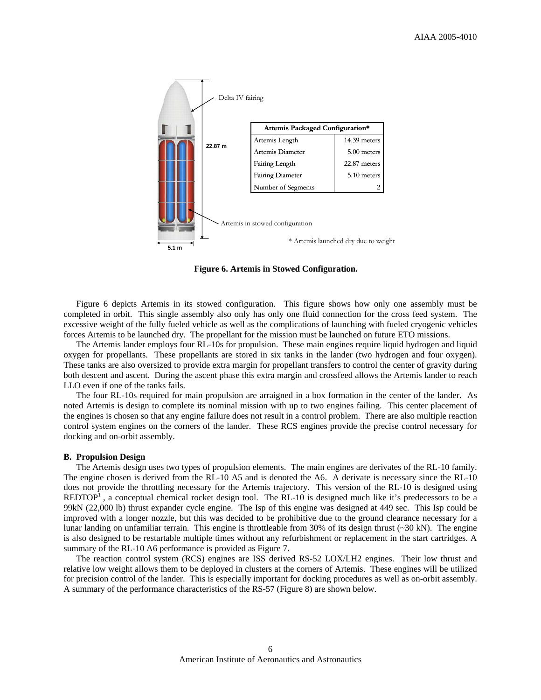

**Figure 6. Artemis in Stowed Configuration.** 

 Figure 6 depicts Artemis in its stowed configuration. This figure shows how only one assembly must be completed in orbit. This single assembly also only has only one fluid connection for the cross feed system. The excessive weight of the fully fueled vehicle as well as the complications of launching with fueled cryogenic vehicles forces Artemis to be launched dry. The propellant for the mission must be launched on future ETO missions.

 The Artemis lander employs four RL-10s for propulsion. These main engines require liquid hydrogen and liquid oxygen for propellants. These propellants are stored in six tanks in the lander (two hydrogen and four oxygen). These tanks are also oversized to provide extra margin for propellant transfers to control the center of gravity during both descent and ascent. During the ascent phase this extra margin and crossfeed allows the Artemis lander to reach LLO even if one of the tanks fails.

 The four RL-10s required for main propulsion are arraigned in a box formation in the center of the lander. As noted Artemis is design to complete its nominal mission with up to two engines failing. This center placement of the engines is chosen so that any engine failure does not result in a control problem. There are also multiple reaction control system engines on the corners of the lander. These RCS engines provide the precise control necessary for docking and on-orbit assembly.

## **B. Propulsion Design**

The Artemis design uses two types of propulsion elements. The main engines are derivates of the RL-10 family. The engine chosen is derived from the RL-10 A5 and is denoted the A6. A derivate is necessary since the RL-10 does not provide the throttling necessary for the Artemis trajectory. This version of the RL-10 is designed using REDTOP<sup>1</sup>, a conceptual chemical rocket design tool. The RL-10 is designed much like it's predecessors to be a 99kN (22,000 lb) thrust expander cycle engine. The Isp of this engine was designed at 449 sec. This Isp could be improved with a longer nozzle, but this was decided to be prohibitive due to the ground clearance necessary for a lunar landing on unfamiliar terrain. This engine is throttleable from 30% of its design thrust  $(\sim 30 \text{ kN})$ . The engine is also designed to be restartable multiple times without any refurbishment or replacement in the start cartridges. A summary of the RL-10 A6 performance is provided as Figure 7.

The reaction control system (RCS) engines are ISS derived RS-52 LOX/LH2 engines. Their low thrust and relative low weight allows them to be deployed in clusters at the corners of Artemis. These engines will be utilized for precision control of the lander. This is especially important for docking procedures as well as on-orbit assembly. A summary of the performance characteristics of the RS-57 (Figure 8) are shown below.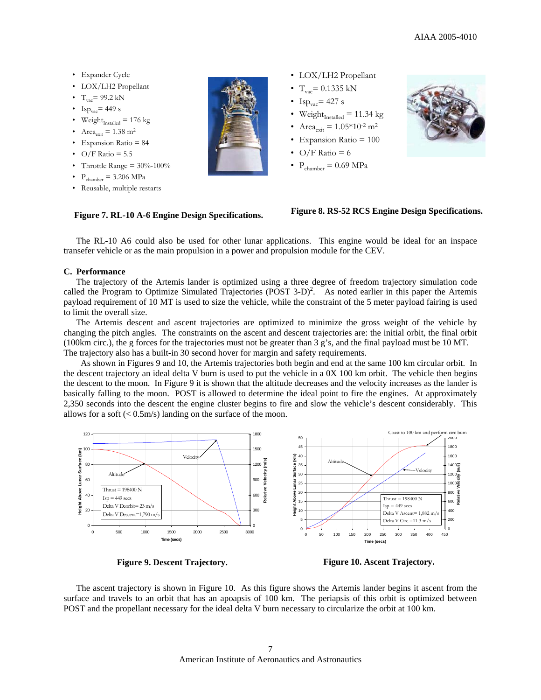- Expander Cycle
- LOX/LH2 Propellant
- $T_{\text{vac}}$  = 99.2 kN
- Isp<sub>vac</sub> $= 449$  s
- Weight $_{\text{Insteaded}}$  = 176 kg
- Area $_{\rm exit}$  = 1.38 m<sup>2</sup>
- Expansion Ratio = 84
- $O/F$  Ratio = 5.5
- Throttle Range  $= 30\% 100\%$
- $P_{\text{chamber}} = 3.206 \text{ MPa}$
- Reusable, multiple restarts
- 
- LOX/LH2 Propellant
- $T_{vac} = 0.1335 \text{ kN}$
- Isp<sub>vac</sub>= 427 s
- Weight $_{\text{Insteadled}} = 11.34 \text{ kg}$
- Area<sub>exit</sub> =  $1.05*10<sup>-2</sup>$  m<sup>2</sup>
- Expansion Ratio = 100
- $O/F$  Ratio = 6
- $P_{chamber} = 0.69 \text{ MPa}$



**Figure 7. RL-10 A-6 Engine Design Specifications.** 



The RL-10 A6 could also be used for other lunar applications. This engine would be ideal for an inspace transefer vehicle or as the main propulsion in a power and propulsion module for the CEV.

## **C. Performance**

The trajectory of the Artemis lander is optimized using a three degree of freedom trajectory simulation code called the Program to Optimize Simulated Trajectories  $(POST\ 3-D)^2$ . As noted earlier in this paper the Artemis payload requirement of 10 MT is used to size the vehicle, while the constraint of the 5 meter payload fairing is used to limit the overall size.

The Artemis descent and ascent trajectories are optimized to minimize the gross weight of the vehicle by changing the pitch angles. The constraints on the ascent and descent trajectories are: the initial orbit, the final orbit (100km circ.), the g forces for the trajectories must not be greater than 3 g's, and the final payload must be 10 MT. The trajectory also has a built-in 30 second hover for margin and safety requirements.

 As shown in Figures 9 and 10, the Artemis trajectories both begin and end at the same 100 km circular orbit. In the descent trajectory an ideal delta V burn is used to put the vehicle in a 0X 100 km orbit. The vehicle then begins the descent to the moon. In Figure 9 it is shown that the altitude decreases and the velocity increases as the lander is basically falling to the moon. POST is allowed to determine the ideal point to fire the engines. At approximately 2,350 seconds into the descent the engine cluster begins to fire and slow the vehicle's descent considerably. This allows for a soft  $(< 0.5$ m/s) landing on the surface of the moon.



**Figure 9. Descent Trajectory.** 

**Figure 10. Ascent Trajectory.** 

The ascent trajectory is shown in Figure 10. As this figure shows the Artemis lander begins it ascent from the surface and travels to an orbit that has an apoapsis of 100 km. The periapsis of this orbit is optimized between POST and the propellant necessary for the ideal delta V burn necessary to circularize the orbit at 100 km.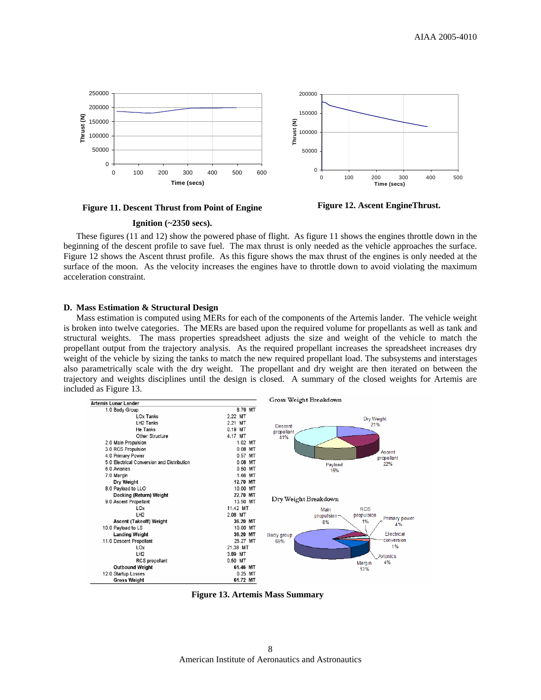

#### **Figure 11. Descent Thrust from Point of Engine**

**Figure 12. Ascent EngineThrust.** 

#### **Ignition (~2350 secs).**

 These figures (11 and 12) show the powered phase of flight. As figure 11 shows the engines throttle down in the beginning of the descent profile to save fuel. The max thrust is only needed as the vehicle approaches the surface. Figure 12 shows the Ascent thrust profile. As this figure shows the max thrust of the engines is only needed at the surface of the moon. As the velocity increases the engines have to throttle down to avoid violating the maximum acceleration constraint.

## **D. Mass Estimation & Structural Design**

Mass estimation is computed using MERs for each of the components of the Artemis lander. The vehicle weight is broken into twelve categories. The MERs are based upon the required volume for propellants as well as tank and structural weights. The mass properties spreadsheet adjusts the size and weight of the vehicle to match the propellant output from the trajectory analysis. As the required propellant increases the spreadsheet increases dry weight of the vehicle by sizing the tanks to match the new required propellant load. The subsystems and interstages also parametrically scale with the dry weight. The propellant and dry weight are then iterated on between the trajectory and weights disciplines until the design is closed. A summary of the closed weights for Artemis are included as Figure 13.



**Figure 13. Artemis Mass Summary**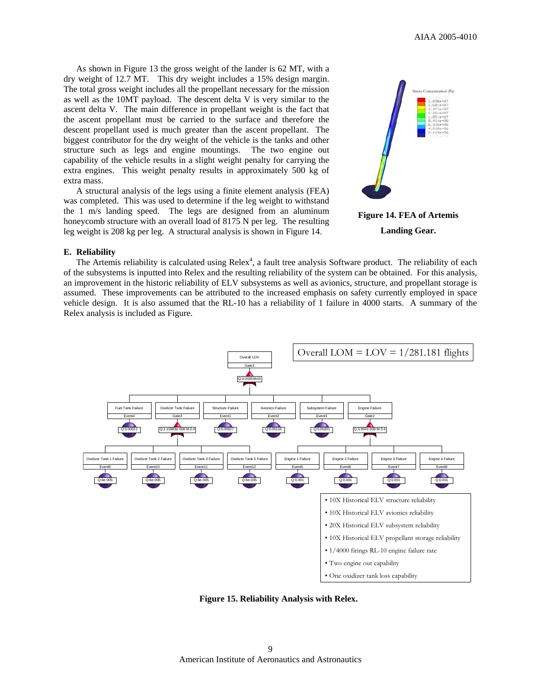As shown in Figure 13 the gross weight of the lander is 62 MT, with a dry weight of 12.7 MT. This dry weight includes a 15% design margin. The total gross weight includes all the propellant necessary for the mission as well as the 10MT payload. The descent delta V is very similar to the ascent delta V. The main difference in propellant weight is the fact that the ascent propellant must be carried to the surface and therefore the descent propellant used is much greater than the ascent propellant. The biggest contributor for the dry weight of the vehicle is the tanks and other structure such as legs and engine mountings. The two engine out capability of the vehicle results in a slight weight penalty for carrying the extra engines. This weight penalty results in approximately 500 kg of extra mass.

A structural analysis of the legs using a finite element analysis (FEA) was completed. This was used to determine if the leg weight to withstand the 1 m/s landing speed. The legs are designed from an aluminum honeycomb structure with an overall load of 8175 N per leg. The resulting leg weight is 208 kg per leg. A structural analysis is shown in Figure 14.



**Figure 14. FEA of Artemis Landing Gear.** 

## **E. Reliability**

The Artemis reliability is calculated using  $Relex<sup>4</sup>$ , a fault tree analysis Software product. The reliability of each of the subsystems is inputted into Relex and the resulting reliability of the system can be obtained. For this analysis, an improvement in the historic reliability of ELV subsystems as well as avionics, structure, and propellant storage is assumed. These improvements can be attributed to the increased emphasis on safety currently employed in space vehicle design. It is also assumed that the RL-10 has a reliability of 1 failure in 4000 starts. A summary of the Relex analysis is included as Figure.



**Figure 15. Reliability Analysis with Relex.**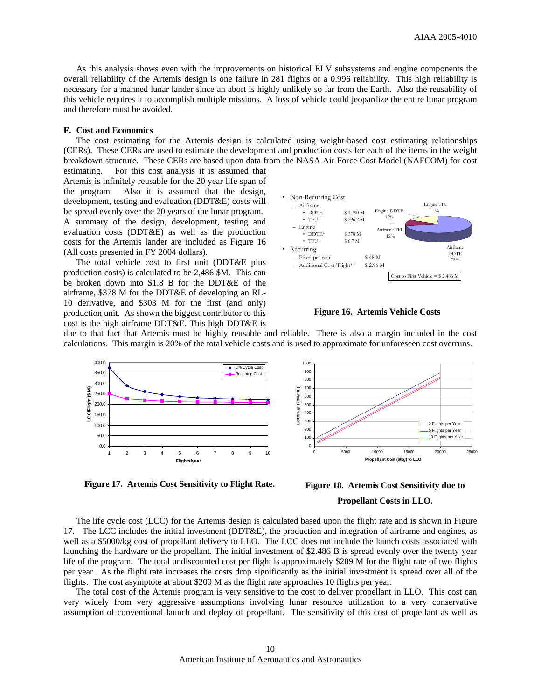As this analysis shows even with the improvements on historical ELV subsystems and engine components the overall reliability of the Artemis design is one failure in 281 flights or a 0.996 reliability. This high reliability is necessary for a manned lunar lander since an abort is highly unlikely so far from the Earth. Also the reusability of this vehicle requires it to accomplish multiple missions. A loss of vehicle could jeopardize the entire lunar program and therefore must be avoided.

#### **F. Cost and Economics**

The cost estimating for the Artemis design is calculated using weight-based cost estimating relationships (CERs). These CERs are used to estimate the development and production costs for each of the items in the weight breakdown structure. These CERs are based upon data from the NASA Air Force Cost Model (NAFCOM) for cost estimating. For this cost analysis it is assumed that

Artemis is infinitely reusable for the 20 year life span of the program. Also it is assumed that the design, development, testing and evaluation (DDT&E) costs will be spread evenly over the 20 years of the lunar program. A summary of the design, development, testing and evaluation costs (DDT&E) as well as the production costs for the Artemis lander are included as Figure 16 (All costs presented in FY 2004 dollars).

The total vehicle cost to first unit (DDT&E plus production costs) is calculated to be 2,486 \$M. This can be broken down into \$1.8 B for the DDT&E of the airframe, \$378 M for the DDT&E of developing an RL-10 derivative, and \$303 M for the first (and only) production unit. As shown the biggest contributor to this cost is the high airframe DDT&E. This high DDT&E is



**Figure 16. Artemis Vehicle Costs** 

due to that fact that Artemis must be highly reusable and reliable. There is also a margin included in the cost calculations. This margin is 20% of the total vehicle costs and is used to approximate for unforeseen cost overruns.



**Figure 17. Artemis Cost Sensitivity to Flight Rate.** 



The life cycle cost (LCC) for the Artemis design is calculated based upon the flight rate and is shown in Figure 17. The LCC includes the initial investment (DDT&E), the production and integration of airframe and engines, as well as a \$5000/kg cost of propellant delivery to LLO. The LCC does not include the launch costs associated with launching the hardware or the propellant. The initial investment of \$2.486 B is spread evenly over the twenty year life of the program. The total undiscounted cost per flight is approximately \$289 M for the flight rate of two flights per year. As the flight rate increases the costs drop significantly as the initial investment is spread over all of the flights. The cost asymptote at about \$200 M as the flight rate approaches 10 flights per year.

The total cost of the Artemis program is very sensitive to the cost to deliver propellant in LLO. This cost can very widely from very aggressive assumptions involving lunar resource utilization to a very conservative assumption of conventional launch and deploy of propellant. The sensitivity of this cost of propellant as well as